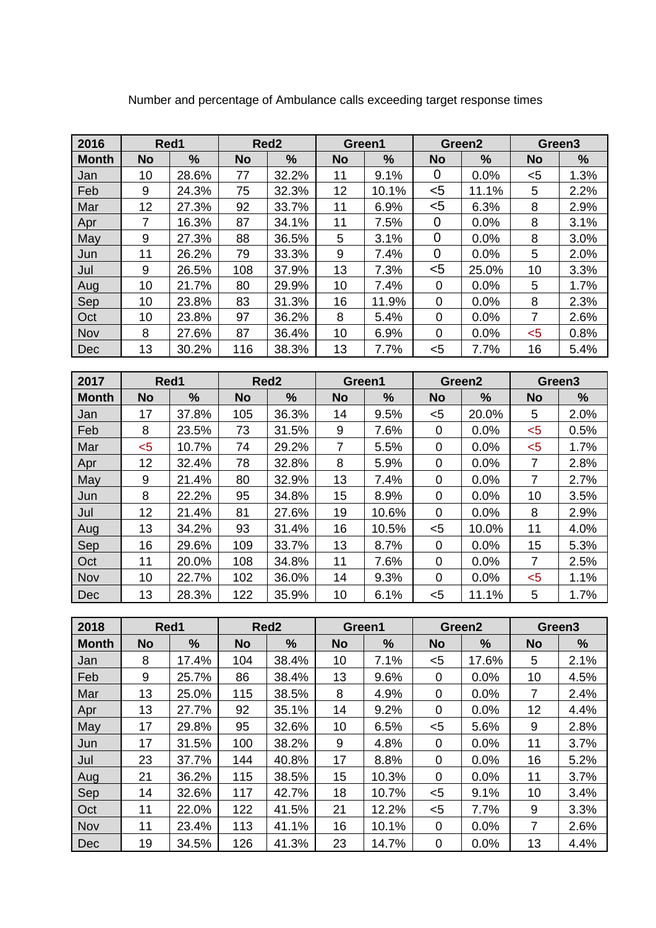| 2016         | Red1      |               |           | Red <sub>2</sub> | Green1    |       |           | Green <sub>2</sub> | Green <sub>3</sub> |      |
|--------------|-----------|---------------|-----------|------------------|-----------|-------|-----------|--------------------|--------------------|------|
| <b>Month</b> | <b>No</b> | $\frac{0}{0}$ | <b>No</b> | $\frac{9}{6}$    | <b>No</b> | %     | <b>No</b> | %                  | <b>No</b>          | $\%$ |
| Jan          | 10        | 28.6%         | 77        | 32.2%            | 11        | 9.1%  | 0         | 0.0%               | <5                 | 1.3% |
| Feb          | 9         | 24.3%         | 75        | 32.3%            | 12        | 10.1% | $5$       | 11.1%              | 5                  | 2.2% |
| Mar          | 12        | 27.3%         | 92        | 33.7%            | 11        | 6.9%  | $5$       | 6.3%               | 8                  | 2.9% |
| Apr          | 7         | 16.3%         | 87        | 34.1%            | 11        | 7.5%  | 0         | 0.0%               | 8                  | 3.1% |
| May          | 9         | 27.3%         | 88        | 36.5%            | 5         | 3.1%  | 0         | 0.0%               | 8                  | 3.0% |
| Jun          | 11        | 26.2%         | 79        | 33.3%            | 9         | 7.4%  | 0         | 0.0%               | 5                  | 2.0% |
| Jul          | 9         | 26.5%         | 108       | 37.9%            | 13        | 7.3%  | $5$       | 25.0%              | 10                 | 3.3% |
| Aug          | 10        | 21.7%         | 80        | 29.9%            | 10        | 7.4%  | $\Omega$  | 0.0%               | 5                  | 1.7% |
| Sep          | 10        | 23.8%         | 83        | 31.3%            | 16        | 11.9% | 0         | 0.0%               | 8                  | 2.3% |
| Oct          | 10        | 23.8%         | 97        | 36.2%            | 8         | 5.4%  | 0         | 0.0%               | 7                  | 2.6% |
| Nov          | 8         | 27.6%         | 87        | 36.4%            | 10        | 6.9%  | 0         | 0.0%               | $5$                | 0.8% |
| <b>Dec</b>   | 13        | 30.2%         | 116       | 38.3%            | 13        | 7.7%  | $5$       | 7.7%               | 16                 | 5.4% |

Number and percentage of Ambulance calls exceeding target response times

| 2017         | Red1      |       |           | Red <sub>2</sub> | Green1    |       |              | Green <sub>2</sub> | Green3    |      |
|--------------|-----------|-------|-----------|------------------|-----------|-------|--------------|--------------------|-----------|------|
| <b>Month</b> | <b>No</b> | $\%$  | <b>No</b> | $\%$             | <b>No</b> | %     | <b>No</b>    | %                  | <b>No</b> | %    |
| Jan          | 17        | 37.8% | 105       | 36.3%            | 14        | 9.5%  | $5$          | 20.0%              | 5         | 2.0% |
| Feb          | 8         | 23.5% | 73        | 31.5%            | 9         | 7.6%  | 0            | 0.0%               | $5$       | 0.5% |
| Mar          | $5$       | 10.7% | 74        | 29.2%            | 7         | 5.5%  | 0            | 0.0%               | $5$       | 1.7% |
| Apr          | 12        | 32.4% | 78        | 32.8%            | 8         | 5.9%  | 0            | 0.0%               | 7         | 2.8% |
| May          | 9         | 21.4% | 80        | 32.9%            | 13        | 7.4%  | 0            | 0.0%               | 7         | 2.7% |
| Jun          | 8         | 22.2% | 95        | 34.8%            | 15        | 8.9%  | 0            | 0.0%               | 10        | 3.5% |
| Jul          | 12        | 21.4% | 81        | 27.6%            | 19        | 10.6% | 0            | 0.0%               | 8         | 2.9% |
| Aug          | 13        | 34.2% | 93        | 31.4%            | 16        | 10.5% | $5$          | 10.0%              | 11        | 4.0% |
| Sep          | 16        | 29.6% | 109       | 33.7%            | 13        | 8.7%  | $\mathbf{0}$ | 0.0%               | 15        | 5.3% |
| Oct          | 11        | 20.0% | 108       | 34.8%            | 11        | 7.6%  | 0            | 0.0%               | 7         | 2.5% |
| Nov          | 10        | 22.7% | 102       | 36.0%            | 14        | 9.3%  | 0            | 0.0%               | $5$       | 1.1% |
| Dec          | 13        | 28.3% | 122       | 35.9%            | 10        | 6.1%  | $5$          | 11.1%              | 5         | 1.7% |

| 2018         | Red1      |               |           | Red <sub>2</sub> | Green1    |       |           | Green <sub>2</sub> | Green3    |      |
|--------------|-----------|---------------|-----------|------------------|-----------|-------|-----------|--------------------|-----------|------|
| <b>Month</b> | <b>No</b> | $\frac{9}{6}$ | <b>No</b> | %                | <b>No</b> | $\%$  | <b>No</b> | %                  | <b>No</b> | %    |
| Jan          | 8         | 17.4%         | 104       | 38.4%            | 10        | 7.1%  | $5$       | 17.6%              | 5         | 2.1% |
| Feb          | 9         | 25.7%         | 86        | 38.4%            | 13        | 9.6%  | 0         | 0.0%               | 10        | 4.5% |
| Mar          | 13        | 25.0%         | 115       | 38.5%            | 8         | 4.9%  | 0         | 0.0%               | 7         | 2.4% |
| Apr          | 13        | 27.7%         | 92        | 35.1%            | 14        | 9.2%  | 0         | 0.0%               | 12        | 4.4% |
| May          | 17        | 29.8%         | 95        | 32.6%            | 10        | 6.5%  | $5$       | 5.6%               | 9         | 2.8% |
| Jun          | 17        | 31.5%         | 100       | 38.2%            | 9         | 4.8%  | 0         | 0.0%               | 11        | 3.7% |
| Jul          | 23        | 37.7%         | 144       | 40.8%            | 17        | 8.8%  | 0         | 0.0%               | 16        | 5.2% |
| Aug          | 21        | 36.2%         | 115       | 38.5%            | 15        | 10.3% | 0         | 0.0%               | 11        | 3.7% |
| Sep          | 14        | 32.6%         | 117       | 42.7%            | 18        | 10.7% | $5$       | 9.1%               | 10        | 3.4% |
| Oct          | 11        | 22.0%         | 122       | 41.5%            | 21        | 12.2% | $5$       | 7.7%               | 9         | 3.3% |
| Nov          | 11        | 23.4%         | 113       | 41.1%            | 16        | 10.1% | 0         | 0.0%               | 7         | 2.6% |
| Dec          | 19        | 34.5%         | 126       | 41.3%            | 23        | 14.7% | 0         | 0.0%               | 13        | 4.4% |